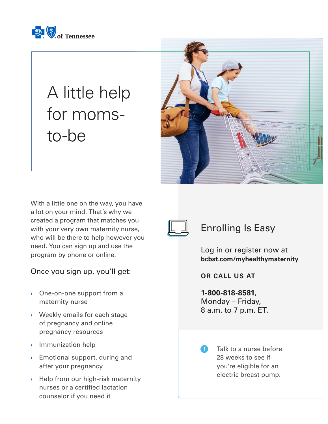

## A little help for momsto-be



With a little one on the way, you have a lot on your mind. That's why we created a program that matches you with your very own maternity nurse, who will be there to help however you need. You can sign up and use the program by phone or online.

## Once you sign up, you'll get:

- › One-on-one support from a maternity nurse
- › Weekly emails for each stage of pregnancy and online pregnancy resources
- › Immunization help
- $\rightarrow$  Emotional support, during and after your pregnancy
- › Help from our high-risk maternity nurses or a certified lactation counselor if you need it



## Enrolling Is Easy

Log in or register now at **bcbst.com/myhealthymaternity**

**OR CALL US AT**

**1-800-818-8581,** Monday – Friday, 8 a.m. to 7 p.m. ET.

> Talk to a nurse before 28 weeks to see if you're eligible for an electric breast pump.